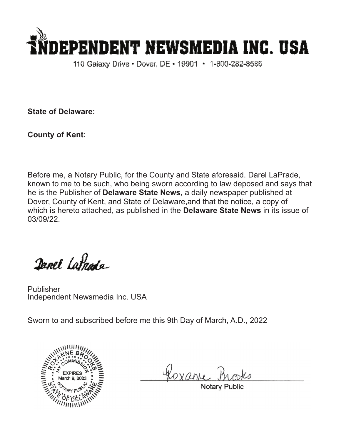

110 Galaxy Drive • Dover, DE • 19901 • 1-800-282-8586

**State of Delaware:**

**County of Kent:**

Before me, a Notary Public, for the County and State aforesaid. Darel LaPrade, known to me to be such, who being sworn according to law deposed and says that he is the Publisher of **Delaware State News,** a daily newspaper published at Dover, County of Kent, and State of Delaware,and that the notice, a copy of which is hereto attached, as published in the **Delaware State News** in its issue of 03/09/22.

Danel Latnade

Publisher Independent Newsmedia Inc. USA

Sworn to and subscribed before me this 9th Day of March, A.D., 2022



Roxan

Notary Pub